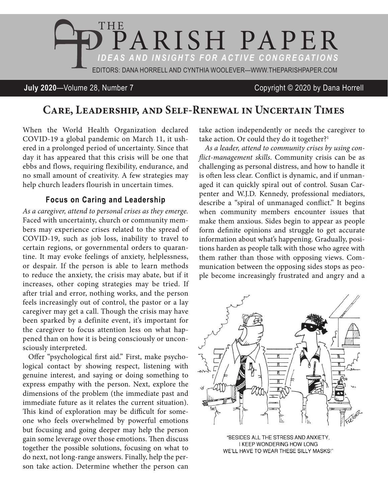

**July 2020**—Volume 28, Number 7 Copyright © 2020 by Dana Horrell

# **Care, Leadership, and Self-Renewal in Uncertain Times**

When the World Health Organization declared COVID-19 a global pandemic on March 11, it ushered in a prolonged period of uncertainty. Since that day it has appeared that this crisis will be one that ebbs and flows, requiring flexibility, endurance, and no small amount of creativity. A few strategies may help church leaders flourish in uncertain times.

### **Focus on Caring and Leadership**

*As a caregiver, attend to personal crises as they emerge.*  Faced with uncertainty, church or community members may experience crises related to the spread of COVID-19, such as job loss, inability to travel to certain regions, or governmental orders to quarantine. It may evoke feelings of anxiety, helplessness, or despair. If the person is able to learn methods to reduce the anxiety, the crisis may abate, but if it increases, other coping strategies may be tried. If after trial and error, nothing works, and the person feels increasingly out of control, the pastor or a lay caregiver may get a call. Though the crisis may have been sparked by a definite event, it's important for the caregiver to focus attention less on what happened than on how it is being consciously or unconsciously interpreted.

Offer "psychological first aid." First, make psychological contact by showing respect, listening with genuine interest, and saying or doing something to express empathy with the person. Next, explore the dimensions of the problem (the immediate past and immediate future as it relates the current situation). This kind of exploration may be difficult for someone who feels overwhelmed by powerful emotions but focusing and going deeper may help the person gain some leverage over those emotions. Then discuss together the possible solutions, focusing on what to do next, not long-range answers. Finally, help the person take action. Determine whether the person can

take action independently or needs the caregiver to take action. Or could they do it together?<sup>1</sup>

*As a leader, attend to community crises by using conflict-management skills*. Community crisis can be as challenging as personal distress, and how to handle it is often less clear. Conflict is dynamic, and if unmanaged it can quickly spiral out of control. Susan Carpenter and W.J.D. Kennedy, professional mediators, describe a "spiral of unmanaged conflict." It begins when community members encounter issues that make them anxious. Sides begin to appear as people form definite opinions and struggle to get accurate information about what's happening. Gradually, positions harden as people talk with those who agree with them rather than those with opposing views. Communication between the opposing sides stops as people become increasingly frustrated and angry and a



"BESIDES ALL THE STRESS AND ANXIETY, I KEEP WONDERING HOW LONG WE'LL HAVE TO WEAR THESE SILLY MASKS!"